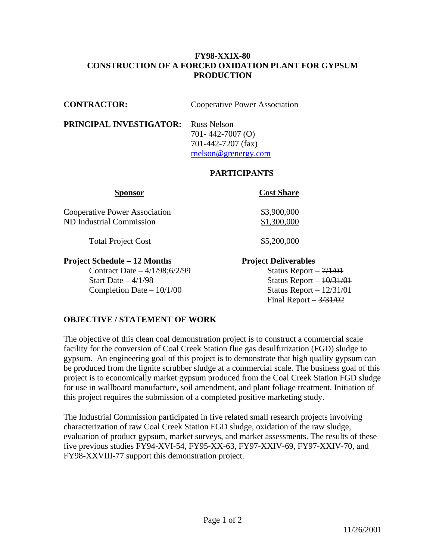### **FY98-XXIX-80 CONSTRUCTION OF A FORCED OXIDATION PLANT FOR GYPSUM PRODUCTION**

**CONTRACTOR:** Cooperative Power Association

#### **PRINCIPAL INVESTIGATOR:** Russ Nelson

 701- 442-7007 (O) 701-442-7207 (fax) [rnelson@grenergy.com](mailto:rnelson@grenergy.com)

# **PARTICIPANTS**

| <b>Cooperative Power Association</b> |  |
|--------------------------------------|--|
| ND Industrial Commission             |  |

Total Project Cost \$5,200,000

## **Project Schedule – 12 Months Project Deliverables**

Contract Date –  $4/1/98;6/2/99$  Status Report –  $7/1/01$ Start Date  $-4/1/98$  Status Report  $-10/31/01$ Completion Date –  $10/1/00$  Status Report –  $\frac{12}{31/01}$ 

## **Sponsor Cost Share**

 $$3,900,000$  $$1,300,000$ 

Final Report  $-3/31/02$ 

# **OBJECTIVE / STATEMENT OF WORK**

The objective of this clean coal demonstration project is to construct a commercial scale facility for the conversion of Coal Creek Station flue gas desulfurization (FGD) sludge to gypsum. An engineering goal of this project is to demonstrate that high quality gypsum can be produced from the lignite scrubber sludge at a commercial scale. The business goal of this project is to economically market gypsum produced from the Coal Creek Station FGD sludge for use in wallboard manufacture, soil amendment, and plant foliage treatment. Initiation of this project requires the submission of a completed positive marketing study.

The Industrial Commission participated in five related small research projects involving characterization of raw Coal Creek Station FGD sludge, oxidation of the raw sludge, evaluation of product gypsum, market surveys, and market assessments. The results of these five previous studies FY94-XVI-54, FY95-XX-63, FY97-XXIV-69, FY97-XXIV-70, and FY98-XXVIII-77 support this demonstration project.